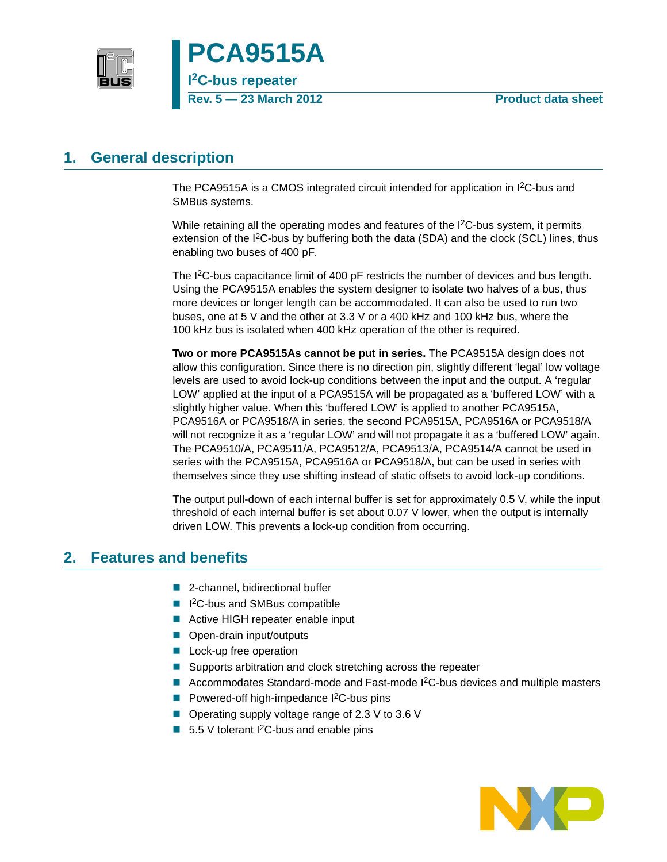



<span id="page-0-1"></span>**1. General description**

The PCA9515A is a CMOS integrated circuit intended for application in I2C-bus and SMBus systems.

While retaining all the operating modes and features of the I<sup>2</sup>C-bus system, it permits extension of the I<sup>2</sup>C-bus by buffering both the data (SDA) and the clock (SCL) lines, thus enabling two buses of 400 pF.

The I<sup>2</sup>C-bus capacitance limit of 400 pF restricts the number of devices and bus length. Using the PCA9515A enables the system designer to isolate two halves of a bus, thus more devices or longer length can be accommodated. It can also be used to run two buses, one at 5 V and the other at 3.3 V or a 400 kHz and 100 kHz bus, where the 100 kHz bus is isolated when 400 kHz operation of the other is required.

**Two or more PCA9515As cannot be put in series.** The PCA9515A design does not allow this configuration. Since there is no direction pin, slightly different 'legal' low voltage levels are used to avoid lock-up conditions between the input and the output. A 'regular LOW' applied at the input of a PCA9515A will be propagated as a 'buffered LOW' with a slightly higher value. When this 'buffered LOW' is applied to another PCA9515A, PCA9516A or PCA9518/A in series, the second PCA9515A, PCA9516A or PCA9518/A will not recognize it as a 'regular LOW' and will not propagate it as a 'buffered LOW' again. The PCA9510/A, PCA9511/A, PCA9512/A, PCA9513/A, PCA9514/A cannot be used in series with the PCA9515A, PCA9516A or PCA9518/A, but can be used in series with themselves since they use shifting instead of static offsets to avoid lock-up conditions.

The output pull-down of each internal buffer is set for approximately 0.5 V, while the input threshold of each internal buffer is set about 0.07 V lower, when the output is internally driven LOW. This prevents a lock-up condition from occurring.

# <span id="page-0-0"></span>**2. Features and benefits**

- 2-channel, bidirectional buffer
- I<sup>2</sup>C-bus and SMBus compatible
- Active HIGH repeater enable input
- Open-drain input/outputs
- **Lock-up free operation**
- Supports arbitration and clock stretching across the repeater
- Accommodates Standard-mode and Fast-mode  $1<sup>2</sup>C$ -bus devices and multiple masters
- **Powered-off high-impedance I<sup>2</sup>C-bus pins**
- $\blacksquare$  Operating supply voltage range of 2.3 V to 3.6 V
- 5.5 V tolerant  $1^2C$ -bus and enable pins

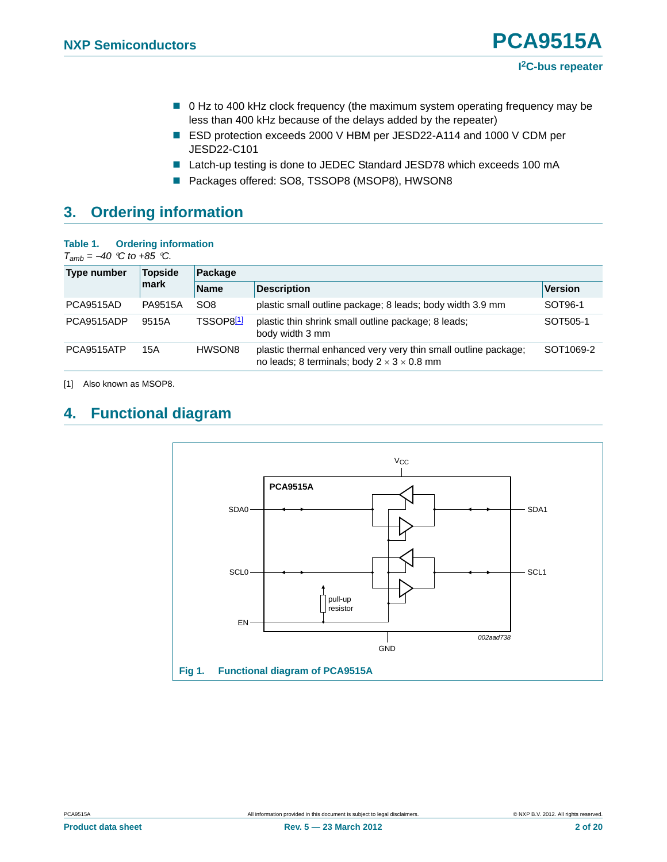- 0 Hz to 400 kHz clock frequency (the maximum system operating frequency may be less than 400 kHz because of the delays added by the repeater)
- ESD protection exceeds 2000 V HBM per JESD22-A114 and 1000 V CDM per JESD22-C101
- Latch-up testing is done to JEDEC Standard JESD78 which exceeds 100 mA
- Packages offered: SO8, TSSOP8 (MSOP8), HWSON8

# <span id="page-1-3"></span>**3. Ordering information**

#### <span id="page-1-2"></span>**Table 1. Ordering information**

 $T_{amb} = -40$  *°C to +85 °C.* 

| <b>Type number</b> | <b>Topside</b> | Package               |                                                                                                                          |           |
|--------------------|----------------|-----------------------|--------------------------------------------------------------------------------------------------------------------------|-----------|
|                    | mark           | <b>Name</b>           | <b>Description</b>                                                                                                       | Version   |
| <b>PCA9515AD</b>   | PA9515A        | SO <sub>8</sub>       | plastic small outline package; 8 leads; body width 3.9 mm                                                                | SOT96-1   |
| PCA9515ADP         | 9515A          | TSSOP8 <sup>[1]</sup> | plastic thin shrink small outline package; 8 leads;<br>body width 3 mm                                                   | SOT505-1  |
| PCA9515ATP         | 15A            | HWSON8                | plastic thermal enhanced very very thin small outline package;<br>no leads; 8 terminals; body $2 \times 3 \times 0.8$ mm | SOT1069-2 |

<span id="page-1-0"></span>[1] Also known as MSOP8.

# <span id="page-1-4"></span>**4. Functional diagram**



<span id="page-1-1"></span>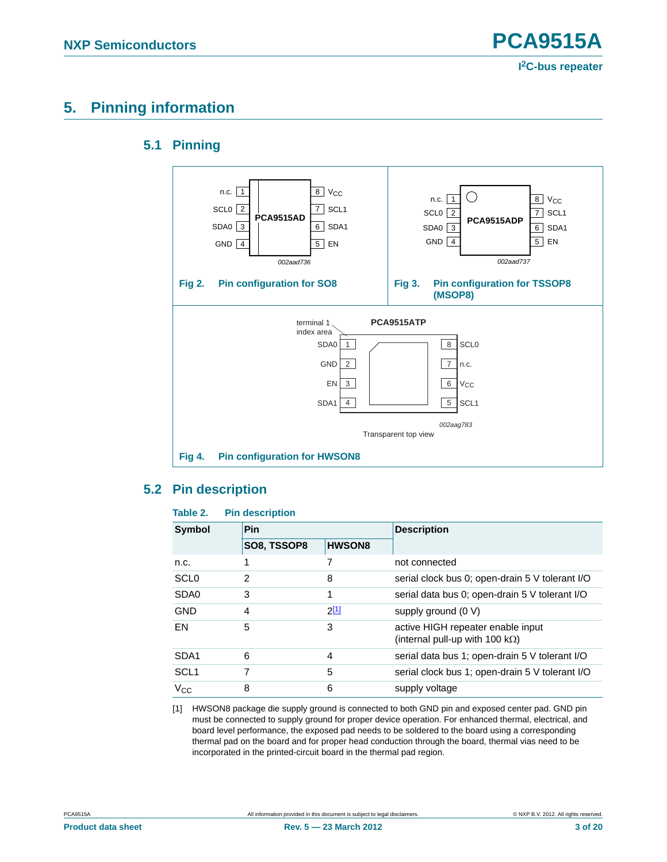# <span id="page-2-4"></span><span id="page-2-1"></span>**5. Pinning information**

### **5.1 Pinning**



### <span id="page-2-5"></span><span id="page-2-2"></span>**5.2 Pin description**

#### <span id="page-2-3"></span>**Table 2. Pin description**

| <b>Symbol</b>    | <b>Pin</b>  |               | <b>Description</b>                                                           |  |
|------------------|-------------|---------------|------------------------------------------------------------------------------|--|
|                  | SO8, TSSOP8 | <b>HWSON8</b> |                                                                              |  |
| n.c.             |             |               | not connected                                                                |  |
| SCL <sub>0</sub> | 2           | 8             | serial clock bus 0; open-drain 5 V tolerant I/O                              |  |
| SD <sub>A0</sub> | 3           | 1             | serial data bus 0; open-drain 5 V tolerant I/O                               |  |
| <b>GND</b>       | 4           | <u>2[1]</u>   | supply ground (0 V)                                                          |  |
| EN               | 5           | 3             | active HIGH repeater enable input<br>(internal pull-up with 100 k $\Omega$ ) |  |
| SDA <sub>1</sub> | 6           | 4             | serial data bus 1; open-drain 5 V tolerant I/O                               |  |
| SCL <sub>1</sub> |             | 5             | serial clock bus 1; open-drain 5 V tolerant I/O                              |  |
| $V_{\rm CC}$     | 8           | 6             | supply voltage                                                               |  |

<span id="page-2-0"></span>[1] HWSON8 package die supply ground is connected to both GND pin and exposed center pad. GND pin must be connected to supply ground for proper device operation. For enhanced thermal, electrical, and board level performance, the exposed pad needs to be soldered to the board using a corresponding thermal pad on the board and for proper head conduction through the board, thermal vias need to be incorporated in the printed-circuit board in the thermal pad region.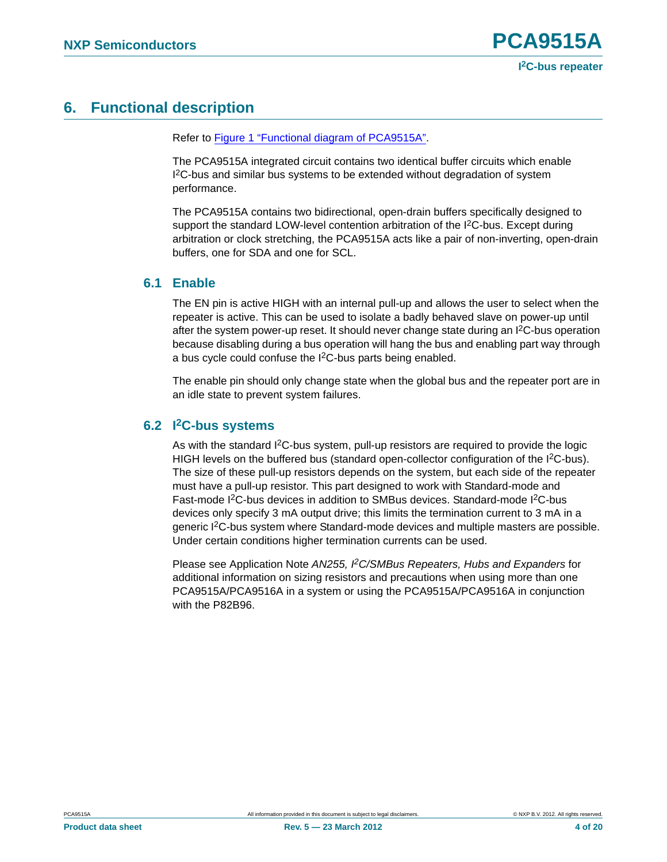# <span id="page-3-0"></span>**6. Functional description**

Refer to [Figure 1 "Functional diagram of PCA9515A"](#page-1-1).

The PCA9515A integrated circuit contains two identical buffer circuits which enable I 2C-bus and similar bus systems to be extended without degradation of system performance.

The PCA9515A contains two bidirectional, open-drain buffers specifically designed to support the standard LOW-level contention arbitration of the I<sup>2</sup>C-bus. Except during arbitration or clock stretching, the PCA9515A acts like a pair of non-inverting, open-drain buffers, one for SDA and one for SCL.

### <span id="page-3-1"></span>**6.1 Enable**

The EN pin is active HIGH with an internal pull-up and allows the user to select when the repeater is active. This can be used to isolate a badly behaved slave on power-up until after the system power-up reset. It should never change state during an I<sup>2</sup>C-bus operation because disabling during a bus operation will hang the bus and enabling part way through a bus cycle could confuse the I<sup>2</sup>C-bus parts being enabled.

The enable pin should only change state when the global bus and the repeater port are in an idle state to prevent system failures.

### <span id="page-3-2"></span>**6.2 I2C-bus systems**

As with the standard I2C-bus system, pull-up resistors are required to provide the logic HIGH levels on the buffered bus (standard open-collector configuration of the  $l^2C$ -bus). The size of these pull-up resistors depends on the system, but each side of the repeater must have a pull-up resistor. This part designed to work with Standard-mode and Fast-mode I2C-bus devices in addition to SMBus devices. Standard-mode I2C-bus devices only specify 3 mA output drive; this limits the termination current to 3 mA in a generic I2C-bus system where Standard-mode devices and multiple masters are possible. Under certain conditions higher termination currents can be used.

Please see Application Note *AN255, I2C/SMBus Repeaters, Hubs and Expanders* for additional information on sizing resistors and precautions when using more than one PCA9515A/PCA9516A in a system or using the PCA9515A/PCA9516A in conjunction with the P82B96.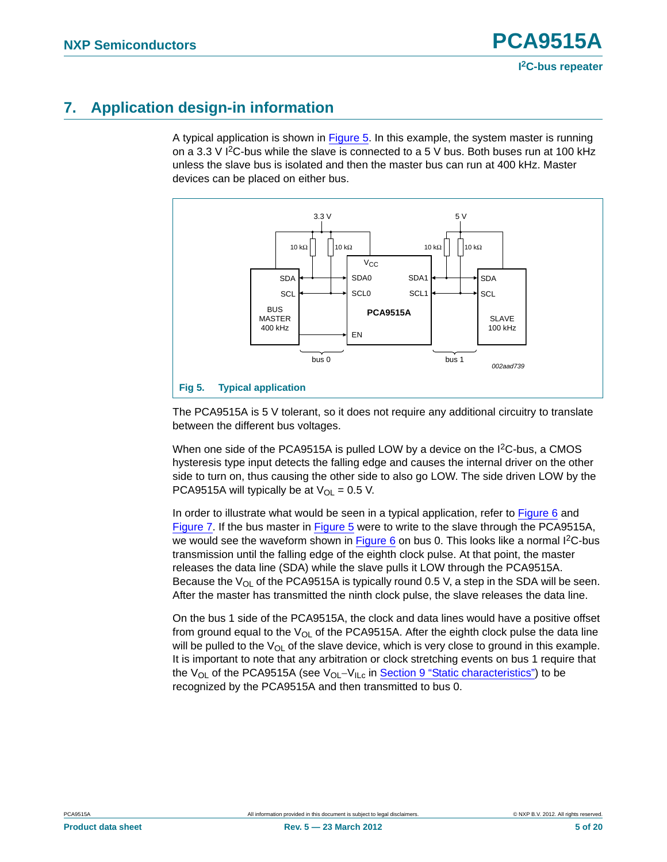# <span id="page-4-1"></span>**7. Application design-in information**

A typical application is shown in [Figure 5](#page-4-0). In this example, the system master is running on a 3.3 V  $12C$ -bus while the slave is connected to a 5 V bus. Both buses run at 100 kHz unless the slave bus is isolated and then the master bus can run at 400 kHz. Master devices can be placed on either bus.



<span id="page-4-0"></span>The PCA9515A is 5 V tolerant, so it does not require any additional circuitry to translate between the different bus voltages.

When one side of the PCA9515A is pulled LOW by a device on the I<sup>2</sup>C-bus, a CMOS hysteresis type input detects the falling edge and causes the internal driver on the other side to turn on, thus causing the other side to also go LOW. The side driven LOW by the PCA9515A will typically be at  $V_{OL} = 0.5$  V.

In order to illustrate what would be seen in a typical application, refer to [Figure 6](#page-5-0) and [Figure 7](#page-5-1). If the bus master in [Figure 5](#page-4-0) were to write to the slave through the PCA9515A, we would see the waveform shown in [Figure 6](#page-5-0) on bus 0. This looks like a normal I<sup>2</sup>C-bus transmission until the falling edge of the eighth clock pulse. At that point, the master releases the data line (SDA) while the slave pulls it LOW through the PCA9515A. Because the  $V_{OL}$  of the PCA9515A is typically round 0.5 V, a step in the SDA will be seen. After the master has transmitted the ninth clock pulse, the slave releases the data line.

On the bus 1 side of the PCA9515A, the clock and data lines would have a positive offset from ground equal to the  $V_{OL}$  of the PCA9515A. After the eighth clock pulse the data line will be pulled to the  $V_{\text{Ol}}$  of the slave device, which is very close to ground in this example. It is important to note that any arbitration or clock stretching events on bus 1 require that the  $V_{OL}$  of the PCA9515A (see  $V_{OL}-V_{ILC}$  in [Section 9 "Static characteristics"](#page-6-0)) to be recognized by the PCA9515A and then transmitted to bus 0.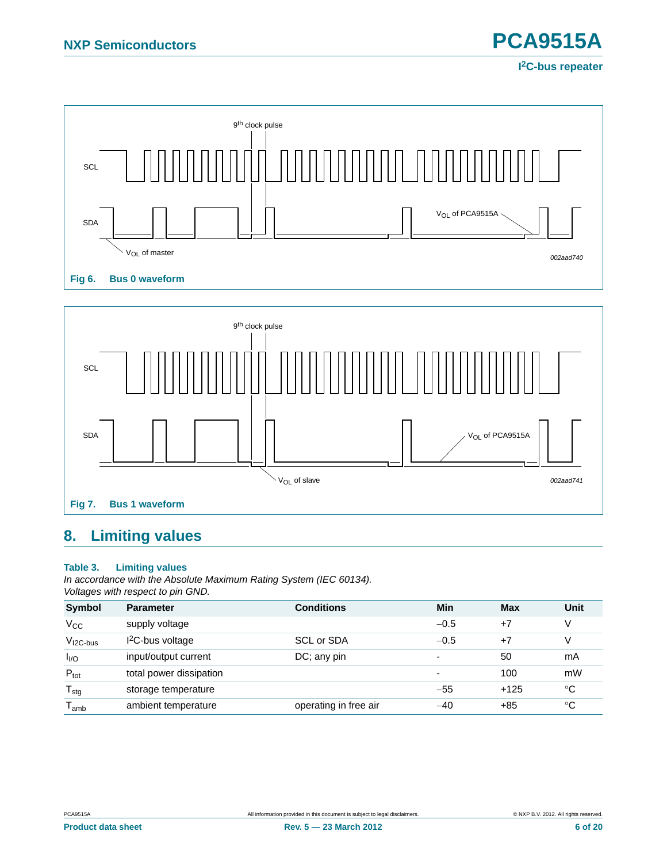

<span id="page-5-0"></span>

# <span id="page-5-3"></span><span id="page-5-1"></span>**8. Limiting values**

#### <span id="page-5-2"></span>**Table 3. Limiting values**

*In accordance with the Absolute Maximum Rating System (IEC 60134). Voltages with respect to pin GND.*

| <b>Symbol</b>    | <b>Parameter</b>        | <b>Conditions</b>     | Min                      | <b>Max</b> | Unit        |
|------------------|-------------------------|-----------------------|--------------------------|------------|-------------|
| $V_{\rm CC}$     | supply voltage          |                       | $-0.5$                   | $+7$       | V           |
| $VI2C-bus$       | $12C$ -bus voltage      | SCL or SDA            | $-0.5$                   | $+7$       | V           |
| I <sub>I/O</sub> | input/output current    | $DC$ ; any pin        | $\overline{\phantom{0}}$ | 50         | mA          |
| $P_{\text{tot}}$ | total power dissipation |                       |                          | 100        | mW          |
| $T_{\text{stg}}$ | storage temperature     |                       | $-55$                    | $+125$     | $^{\circ}C$ |
| $I_{amb}$        | ambient temperature     | operating in free air | $-40$                    | +85        | °C          |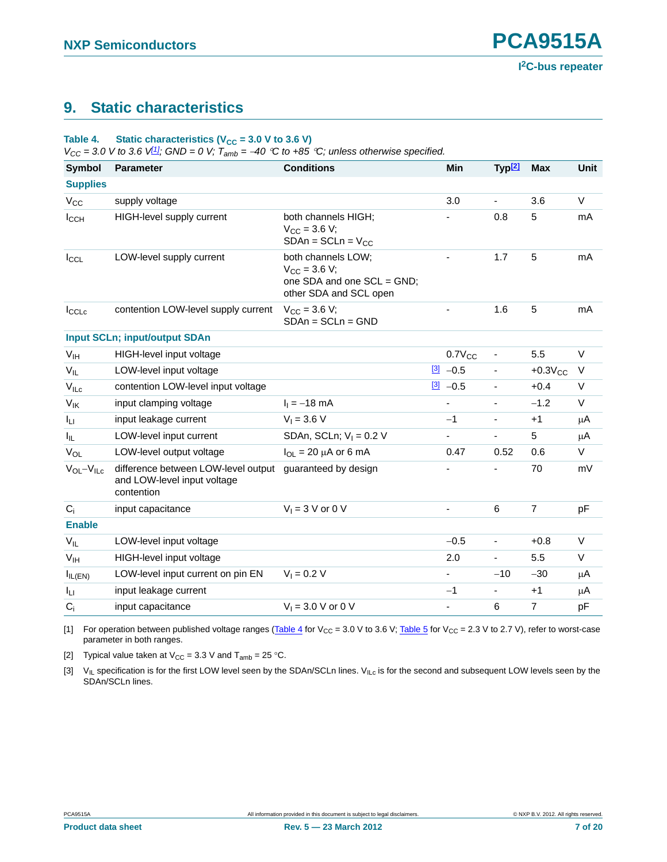# <span id="page-6-0"></span>**9. Static characteristics**

### <span id="page-6-4"></span>Table 4. Static characteristics  $(V_{CC} = 3.0 V$  to 3.6 V)

 $V_{CC} = 3.0$  V to 3.6 V<sup>[\[1\]](#page-6-1)</sup>*;* GND = 0 V;  $T_{amb} = -40$  °C to +85 °C; unless otherwise specified.

| <b>Symbol</b>      | <b>Parameter</b>                                                                 | <b>Conditions</b>                                                                                   | Min                      | Typ <sup>[2]</sup>       | <b>Max</b>     | <b>Unit</b> |
|--------------------|----------------------------------------------------------------------------------|-----------------------------------------------------------------------------------------------------|--------------------------|--------------------------|----------------|-------------|
| <b>Supplies</b>    |                                                                                  |                                                                                                     |                          |                          |                |             |
| $V_{\rm CC}$       | supply voltage                                                                   |                                                                                                     | 3.0                      | $\overline{\phantom{0}}$ | 3.6            | V           |
| $I_{CCH}$          | HIGH-level supply current                                                        | both channels HIGH;<br>$V_{CC}$ = 3.6 V;<br>$SDAn = SCLn = V_{CC}$                                  |                          | 0.8                      | 5              | mA          |
| $I_{CCL}$          | LOW-level supply current                                                         | both channels LOW:<br>$V_{\rm CC}$ = 3.6 V;<br>one SDA and one SCL = GND;<br>other SDA and SCL open | $\overline{\phantom{a}}$ | 1.7                      | 5              | mA          |
| $I_{\text{CCLc}}$  | contention LOW-level supply current                                              | $V_{CC}$ = 3.6 V;<br>$SDAn = SCLn = GND$                                                            |                          | 1.6                      | 5              | mA          |
|                    | <b>Input SCLn; input/output SDAn</b>                                             |                                                                                                     |                          |                          |                |             |
| V <sub>IH</sub>    | HIGH-level input voltage                                                         |                                                                                                     | $0.7V_{CC}$              | $\overline{\phantom{a}}$ | 5.5            | V           |
| $V_{IL}$           | LOW-level input voltage                                                          |                                                                                                     | $\frac{3}{2}$ -0.5       |                          | $+0.3V_{CC}$   | $\vee$      |
| $V_{ILC}$          | contention LOW-level input voltage                                               |                                                                                                     | $[3] -0.5$               |                          | $+0.4$         | $\vee$      |
| $V_{\text{IK}}$    | input clamping voltage                                                           | $I_1 = -18$ mA                                                                                      | $\overline{\phantom{a}}$ | $\overline{\phantom{a}}$ | $-1.2$         | V           |
| Iц                 | input leakage current                                                            | $V_1 = 3.6 V$                                                                                       | $-1$                     |                          | $+1$           | μA          |
| $I_{IL}$           | LOW-level input current                                                          | SDAn, SCLn; $V_1 = 0.2$ V                                                                           | $\blacksquare$           |                          | 5              | μA          |
| $V_{OL}$           | LOW-level output voltage                                                         | $I_{OL}$ = 20 $\mu$ A or 6 mA                                                                       | 0.47                     | 0.52                     | 0.6            | V           |
| $V_{OL} - V_{ILC}$ | difference between LOW-level output<br>and LOW-level input voltage<br>contention | guaranteed by design                                                                                |                          |                          | 70             | mV          |
| $C_i$              | input capacitance                                                                | $V_1 = 3$ V or 0 V                                                                                  | $\blacksquare$           | 6                        | $\overline{7}$ | pF          |
| <b>Enable</b>      |                                                                                  |                                                                                                     |                          |                          |                |             |
| $V_{IL}$           | LOW-level input voltage                                                          |                                                                                                     | $-0.5$                   |                          | $+0.8$         | $\vee$      |
| V <sub>IH</sub>    | HIGH-level input voltage                                                         |                                                                                                     | 2.0                      | $\overline{\phantom{0}}$ | 5.5            | V           |
| $I_{IL(EN)}$       | LOW-level input current on pin EN                                                | $V_1 = 0.2 V$                                                                                       | $\blacksquare$           | $-10$                    | $-30$          | μA          |
| Iц                 | input leakage current                                                            |                                                                                                     | $-1$                     |                          | $+1$           | μA          |
| $C_i$              | input capacitance                                                                | $V_1 = 3.0 V$ or 0 V                                                                                | $\blacksquare$           | 6                        | $\overline{7}$ | pF          |

<span id="page-6-1"></span>[1] For operation between published voltage ranges [\(Table 4](#page-6-4) for V<sub>CC</sub> = 3.0 V to 3.6 V; [Table 5](#page-7-0) for V<sub>CC</sub> = 2.3 V to 2.7 V), refer to worst-case parameter in both ranges.

<span id="page-6-2"></span>[2] Typical value taken at  $V_{CC} = 3.3$  V and  $T_{amb} = 25$  °C.

<span id="page-6-3"></span>[3]  $V_{IL}$  specification is for the first LOW level seen by the SDAn/SCLn lines.  $V_{ILc}$  is for the second and subsequent LOW levels seen by the SDAn/SCLn lines.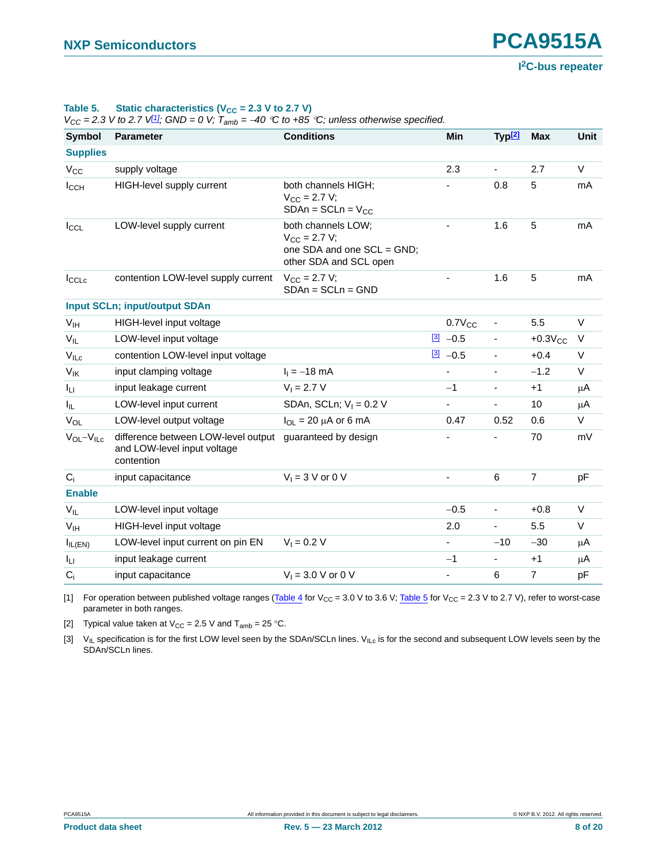**I 2C-bus repeater**

<span id="page-7-0"></span>Table 5. Static characteristics  $(V_{CC} = 2.3 V$  to 2.7 V)

 $V_{CC} = 2.3$  *V* to 2.7 V<sup>[\[1\]](#page-7-1)</sup>*;* GND = 0 V;  $T_{amb} = -40$  °C to +85 °C; unless otherwise specified.

| <b>Symbol</b>      | <b>Parameter</b>                                                                 | <b>Conditions</b>                                                                                   | Min                      | Typ <sup>[2]</sup>       | <b>Max</b>     | <b>Unit</b> |
|--------------------|----------------------------------------------------------------------------------|-----------------------------------------------------------------------------------------------------|--------------------------|--------------------------|----------------|-------------|
| <b>Supplies</b>    |                                                                                  |                                                                                                     |                          |                          |                |             |
| $V_{CC}$           | supply voltage                                                                   |                                                                                                     | 2.3                      | ÷.                       | 2.7            | V           |
| $I_{CCH}$          | <b>HIGH-level supply current</b>                                                 | both channels HIGH;<br>$V_{CC} = 2.7 V;$<br>$SDAn = SCLn = VCC$                                     |                          | 0.8                      | 5              | mA          |
| $I_{CCL}$          | LOW-level supply current                                                         | both channels LOW;<br>$V_{\rm CC}$ = 2.7 V;<br>one SDA and one SCL = GND;<br>other SDA and SCL open | $\blacksquare$           | 1.6                      | 5              | mA          |
| $I_{\text{CCLc}}$  | contention LOW-level supply current                                              | $V_{\rm CC} = 2.7 V;$<br>$SDAn = SCLn = GND$                                                        |                          | 1.6                      | 5              | mA          |
|                    | <b>Input SCLn; input/output SDAn</b>                                             |                                                                                                     |                          |                          |                |             |
| V <sub>IH</sub>    | HIGH-level input voltage                                                         |                                                                                                     | $0.7V_{CC}$              | $\blacksquare$           | 5.5            | $\vee$      |
| $V_{IL}$           | LOW-level input voltage                                                          |                                                                                                     | $\frac{[3]}{2}$ -0.5     |                          | $+0.3V_{CC}$   | V           |
| $V_{ILC}$          | contention LOW-level input voltage                                               |                                                                                                     | $\frac{3}{2}$ -0.5       |                          | $+0.4$         | $\vee$      |
| $V_{\text{IK}}$    | input clamping voltage                                                           | $I_1 = -18$ mA                                                                                      | $\overline{\phantom{a}}$ | $\overline{\phantom{a}}$ | $-1.2$         | $\vee$      |
| Iц                 | input leakage current                                                            | $V_1 = 2.7 V$                                                                                       | $-1$                     | $\blacksquare$           | $+1$           | μA          |
| I <sub>IL</sub>    | LOW-level input current                                                          | SDAn, SCLn; $V_1 = 0.2$ V                                                                           |                          |                          | 10             | $\mu$ A     |
| $V_{OL}$           | LOW-level output voltage                                                         | $I_{OL}$ = 20 $\mu$ A or 6 mA                                                                       | 0.47                     | 0.52                     | 0.6            | V           |
| $V_{OL} - V_{ILC}$ | difference between LOW-level output<br>and LOW-level input voltage<br>contention | guaranteed by design                                                                                |                          |                          | 70             | mV          |
| $C_i$              | input capacitance                                                                | $V_1 = 3$ V or 0 V                                                                                  | $\blacksquare$           | 6                        | $\overline{7}$ | pF          |
| <b>Enable</b>      |                                                                                  |                                                                                                     |                          |                          |                |             |
| $V_{IL}$           | LOW-level input voltage                                                          |                                                                                                     | $-0.5$                   | $\overline{\phantom{0}}$ | $+0.8$         | V           |
| V <sub>IH</sub>    | HIGH-level input voltage                                                         |                                                                                                     | 2.0                      | ÷,                       | 5.5            | $\vee$      |
| $I_{IL(EN)}$       | LOW-level input current on pin EN                                                | $V_1 = 0.2 V$                                                                                       | $\blacksquare$           | $-10$                    | $-30$          | μA          |
| Iц                 | input leakage current                                                            |                                                                                                     | $-1$                     |                          | $+1$           | μA          |
| $C_i$              | input capacitance                                                                | $V_1 = 3.0 V$ or 0 V                                                                                |                          | 6                        | $\overline{7}$ | pF          |

<span id="page-7-1"></span>[1] For operation between published voltage ranges [\(Table 4](#page-6-4) for V<sub>CC</sub> = 3.0 V to 3.6 V; [Table 5](#page-7-0) for V<sub>CC</sub> = 2.3 V to 2.7 V), refer to worst-case parameter in both ranges.

<span id="page-7-2"></span>[2] Typical value taken at  $V_{CC} = 2.5$  V and  $T_{amb} = 25$  °C.

[3]  $V_{IL}$  specification is for the first LOW level seen by the SDAn/SCLn lines.  $V_{ILc}$  is for the second and subsequent LOW levels seen by the SDAn/SCLn lines.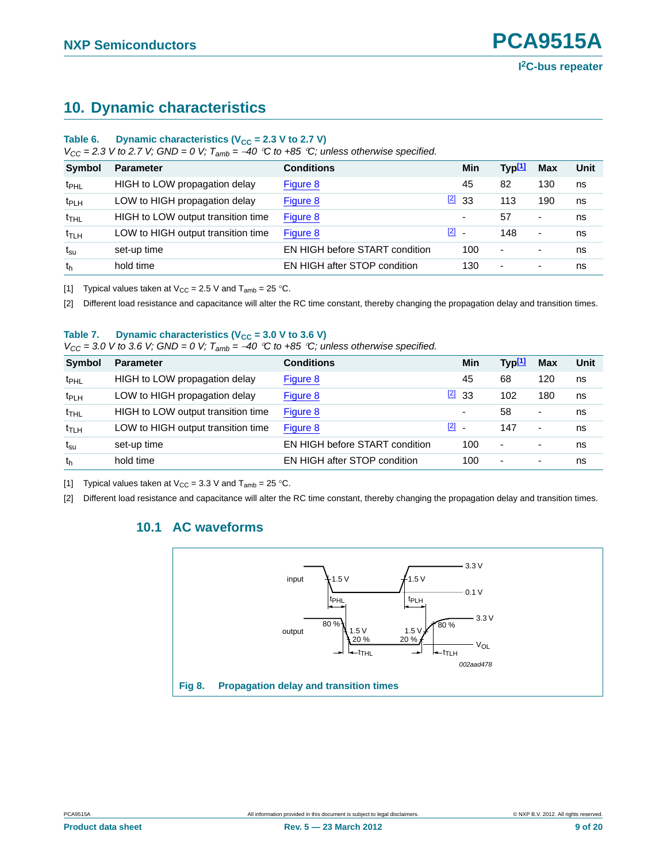# <span id="page-8-5"></span>**10. Dynamic characteristics**

### Table 6. Dynamic characteristics ( $V_{CC}$  = 2.3 V to 2.7 V)

 $V_{CC}$  = 2.3 V to 2.7 V; GND = 0 V;  $T_{amb}$  = -40 °C to +85 °C; unless otherwise specified.

| <b>Symbol</b>    | <b>Parameter</b>                   | <b>Conditions</b>              |                                     | Min | Typ <sup>[1]</sup>       | <b>Max</b> | Unit |
|------------------|------------------------------------|--------------------------------|-------------------------------------|-----|--------------------------|------------|------|
| t <sub>PHL</sub> | HIGH to LOW propagation delay      | Figure 8                       |                                     | 45  | 82                       | 130        | ns   |
| t <sub>PLH</sub> | LOW to HIGH propagation delay      | Figure 8                       | $\boxed{2}$ 33                      |     | 113                      | 190        | ns   |
| $t_{\text{THL}}$ | HIGH to LOW output transition time | Figure 8                       |                                     | ٠   | 57                       | ٠          | ns   |
| $t_{\text{TLH}}$ | LOW to HIGH output transition time | Figure 8                       | $\begin{bmatrix} 2 \end{bmatrix}$ . |     | 148                      | ٠          | ns   |
| $t_{\rm su}$     | set-up time                        | EN HIGH before START condition |                                     | 100 | $\overline{\phantom{a}}$ |            | ns   |
| th               | hold time                          | EN HIGH after STOP condition   |                                     | 130 | $\overline{\phantom{a}}$ | ٠          | ns   |

<span id="page-8-0"></span>[1] Typical values taken at  $V_{CC} = 2.5$  V and  $T_{amb} = 25$  °C.

<span id="page-8-2"></span>[2] Different load resistance and capacitance will alter the RC time constant, thereby changing the propagation delay and transition times.

#### Table 7. Dynamic characteristics ( $V_{CC}$  = 3.0 V to 3.6 V)

 $V_{CC} = 3.0$  V to 3.6 V; GND = 0 V;  $T_{amb} = -40$  °C to +85 °C; unless otherwise specified.

| <b>Symbol</b>              | <b>Parameter</b>                   | <b>Conditions</b>              | Min            | Typ <sup>[1]</sup>       | <b>Max</b>               | Unit |
|----------------------------|------------------------------------|--------------------------------|----------------|--------------------------|--------------------------|------|
| t <sub>PHL</sub>           | HIGH to LOW propagation delay      | Figure 8                       | 45             | 68                       | 120                      | ns   |
| t <sub>PLH</sub>           | LOW to HIGH propagation delay      | Figure 8                       | $\boxed{2}$ 33 | 102                      | 180                      | ns   |
| $t_{\sf THL}$              | HIGH to LOW output transition time | Figure 8                       | ۰              | 58                       | $\overline{\phantom{a}}$ | ns   |
| $t_{\text{TLH}}$           | LOW to HIGH output transition time | Figure 8                       | $\boxed{2}$ -  | 147                      | ٠                        | ns   |
| $\mathsf{t}_{\mathsf{su}}$ | set-up time                        | EN HIGH before START condition | 100            | $\overline{\phantom{a}}$ | ٠                        | ns   |
| th                         | hold time                          | EN HIGH after STOP condition   | 100            | $\overline{\phantom{a}}$ | ٠                        | ns   |
|                            |                                    |                                |                |                          |                          |      |

<span id="page-8-3"></span>[1] Typical values taken at  $V_{CC} = 3.3$  V and  $T_{amb} = 25$  °C.

<span id="page-8-6"></span><span id="page-8-4"></span>[2] Different load resistance and capacitance will alter the RC time constant, thereby changing the propagation delay and transition times.

### **10.1 AC waveforms**

<span id="page-8-1"></span>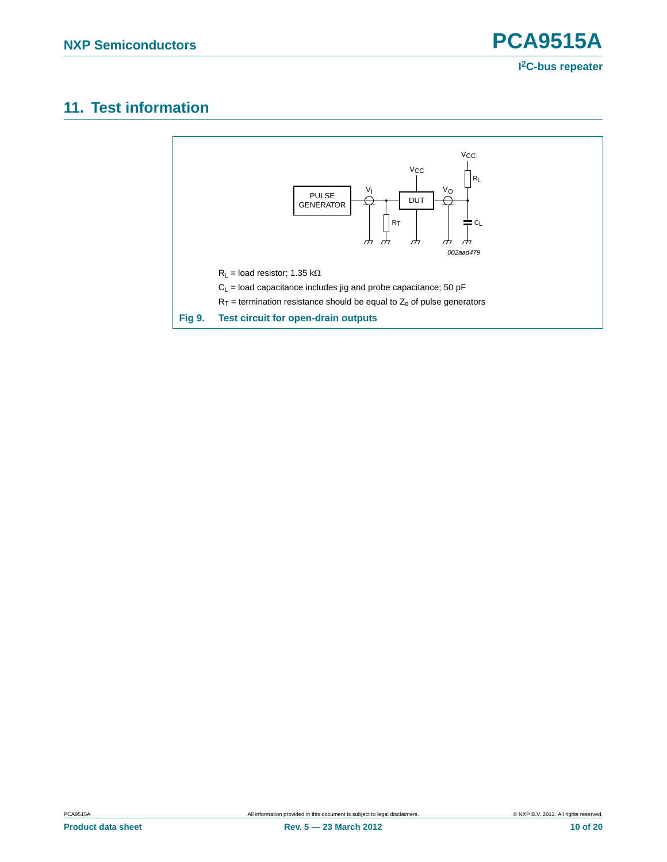# <span id="page-9-0"></span>**11. Test information**

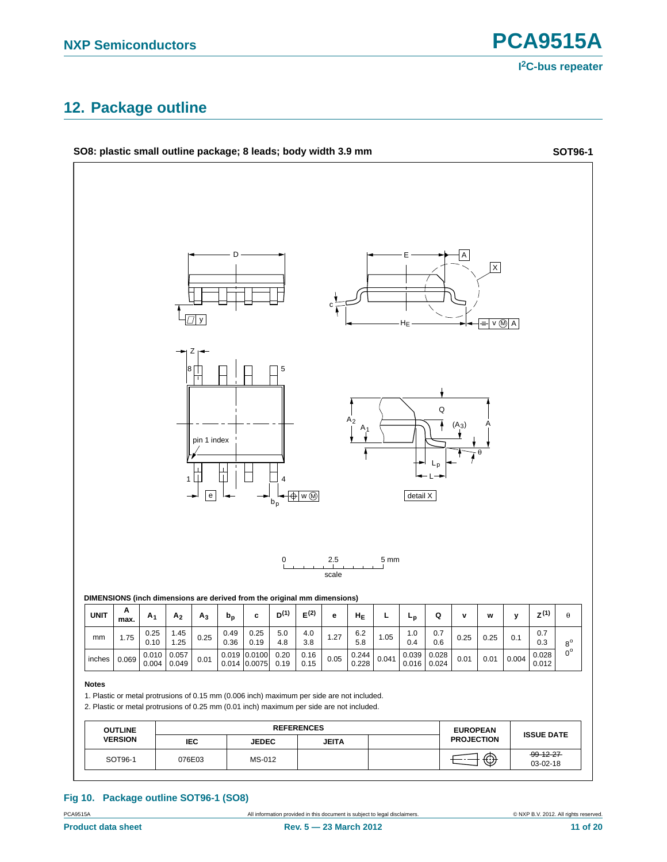**I 2C-bus repeater**

# <span id="page-10-0"></span>**12. Package outline**



#### **Fig 10. Package outline SOT96-1 (SO8)**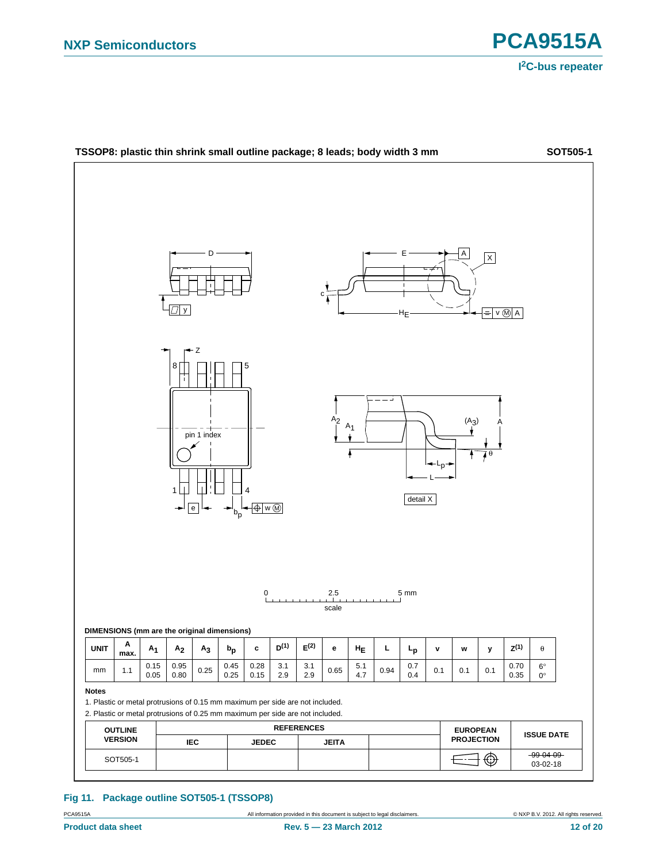



#### **Fig 11. Package outline SOT505-1 (TSSOP8)**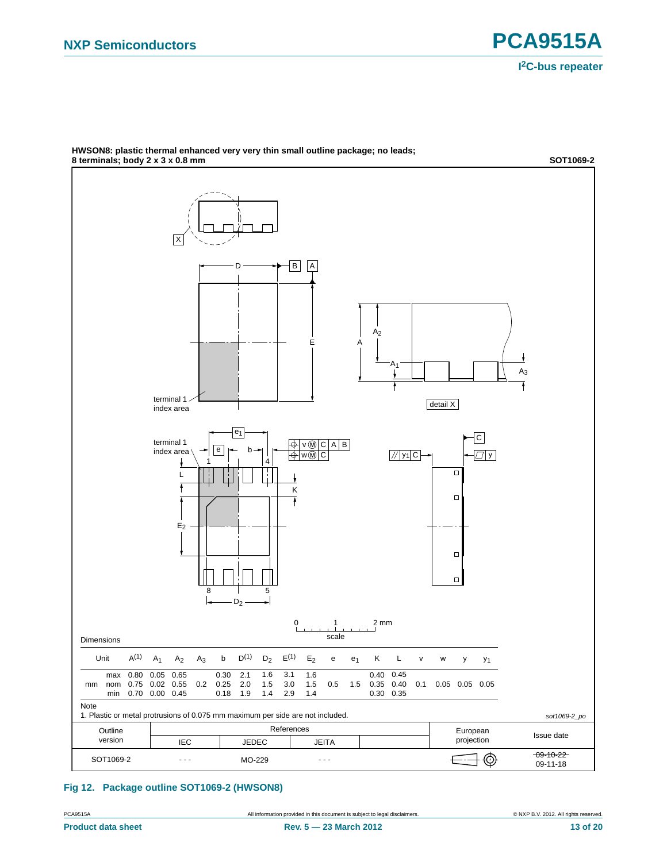

**HWSON8: plastic thermal enhanced very very thin small outline package; no leads; 8 terminals; body 2 x 3 x 0.8 mm SOT1069-2**

### <span id="page-12-0"></span>**Fig 12. Package outline SOT1069-2 (HWSON8)**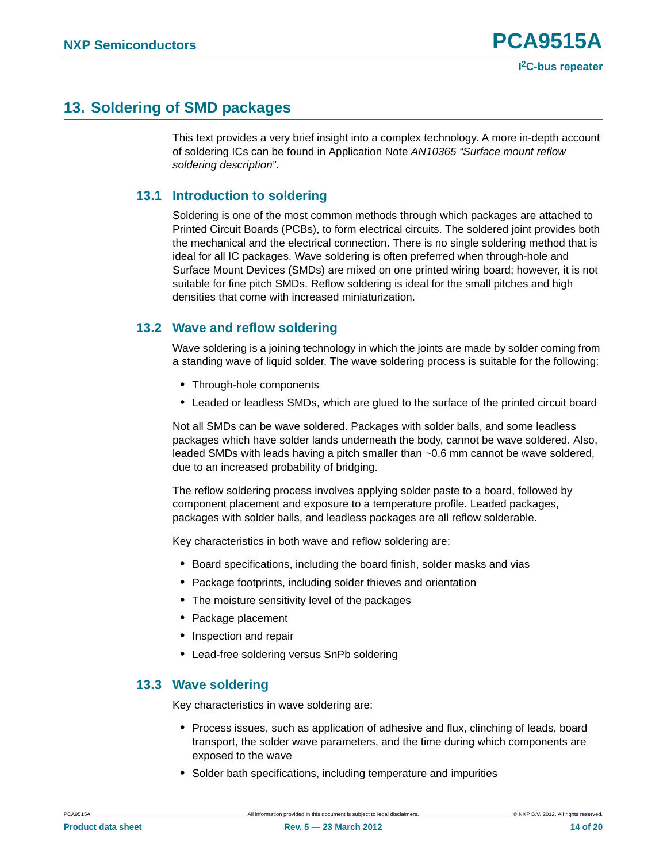# <span id="page-13-0"></span>**13. Soldering of SMD packages**

This text provides a very brief insight into a complex technology. A more in-depth account of soldering ICs can be found in Application Note *AN10365 "Surface mount reflow soldering description"*.

### <span id="page-13-1"></span>**13.1 Introduction to soldering**

Soldering is one of the most common methods through which packages are attached to Printed Circuit Boards (PCBs), to form electrical circuits. The soldered joint provides both the mechanical and the electrical connection. There is no single soldering method that is ideal for all IC packages. Wave soldering is often preferred when through-hole and Surface Mount Devices (SMDs) are mixed on one printed wiring board; however, it is not suitable for fine pitch SMDs. Reflow soldering is ideal for the small pitches and high densities that come with increased miniaturization.

### <span id="page-13-2"></span>**13.2 Wave and reflow soldering**

Wave soldering is a joining technology in which the joints are made by solder coming from a standing wave of liquid solder. The wave soldering process is suitable for the following:

- **•** Through-hole components
- **•** Leaded or leadless SMDs, which are glued to the surface of the printed circuit board

Not all SMDs can be wave soldered. Packages with solder balls, and some leadless packages which have solder lands underneath the body, cannot be wave soldered. Also, leaded SMDs with leads having a pitch smaller than ~0.6 mm cannot be wave soldered, due to an increased probability of bridging.

The reflow soldering process involves applying solder paste to a board, followed by component placement and exposure to a temperature profile. Leaded packages, packages with solder balls, and leadless packages are all reflow solderable.

Key characteristics in both wave and reflow soldering are:

- **•** Board specifications, including the board finish, solder masks and vias
- **•** Package footprints, including solder thieves and orientation
- **•** The moisture sensitivity level of the packages
- **•** Package placement
- **•** Inspection and repair
- **•** Lead-free soldering versus SnPb soldering

### <span id="page-13-3"></span>**13.3 Wave soldering**

Key characteristics in wave soldering are:

- **•** Process issues, such as application of adhesive and flux, clinching of leads, board transport, the solder wave parameters, and the time during which components are exposed to the wave
- **•** Solder bath specifications, including temperature and impurities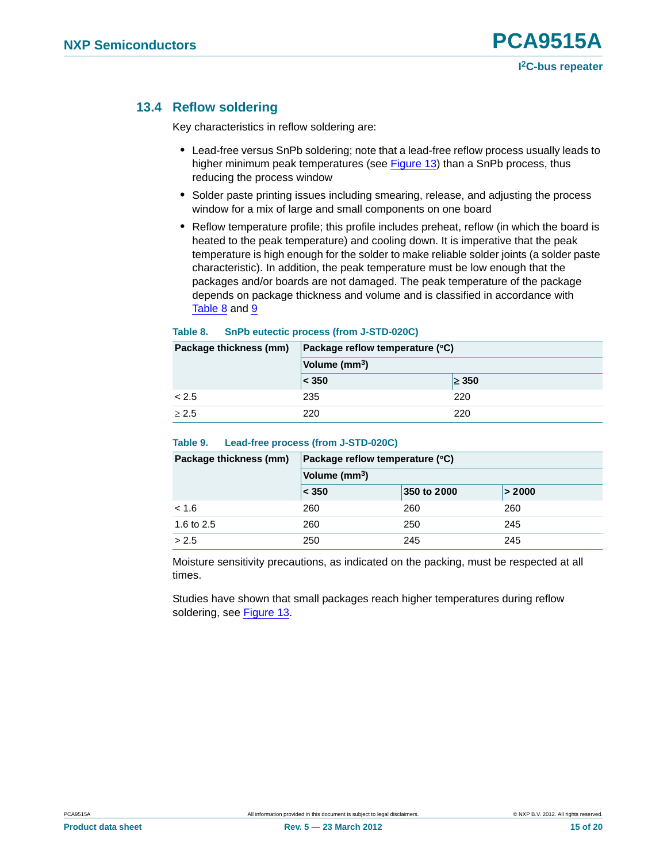### <span id="page-14-0"></span>**13.4 Reflow soldering**

Key characteristics in reflow soldering are:

- **•** Lead-free versus SnPb soldering; note that a lead-free reflow process usually leads to higher minimum peak temperatures (see **Figure 13**) than a SnPb process, thus reducing the process window
- **•** Solder paste printing issues including smearing, release, and adjusting the process window for a mix of large and small components on one board
- **•** Reflow temperature profile; this profile includes preheat, reflow (in which the board is heated to the peak temperature) and cooling down. It is imperative that the peak temperature is high enough for the solder to make reliable solder joints (a solder paste characteristic). In addition, the peak temperature must be low enough that the packages and/or boards are not damaged. The peak temperature of the package depends on package thickness and volume and is classified in accordance with Table 8 and 9

| Package thickness (mm) | Package reflow temperature (°C) |            |  |
|------------------------|---------------------------------|------------|--|
|                        | Volume (mm <sup>3</sup> )       |            |  |
|                        | < 350                           | $\geq 350$ |  |
| < 2.5                  | 235                             | 220        |  |
| > 2.5                  | 220                             | 220        |  |

#### **Table 8. SnPb eutectic process (from J-STD-020C)**

#### **Table 9. Lead-free process (from J-STD-020C)**

| Package thickness (mm) | Package reflow temperature (°C) |             |        |  |  |
|------------------------|---------------------------------|-------------|--------|--|--|
|                        | Volume (mm <sup>3</sup> )       |             |        |  |  |
|                        | < 350                           | 350 to 2000 | > 2000 |  |  |
| < 1.6                  | 260                             | 260         | 260    |  |  |
| 1.6 to 2.5             | 260                             | 250         | 245    |  |  |
| > 2.5                  | 250                             | 245         | 245    |  |  |

Moisture sensitivity precautions, as indicated on the packing, must be respected at all times.

Studies have shown that small packages reach higher temperatures during reflow soldering, see Figure 13.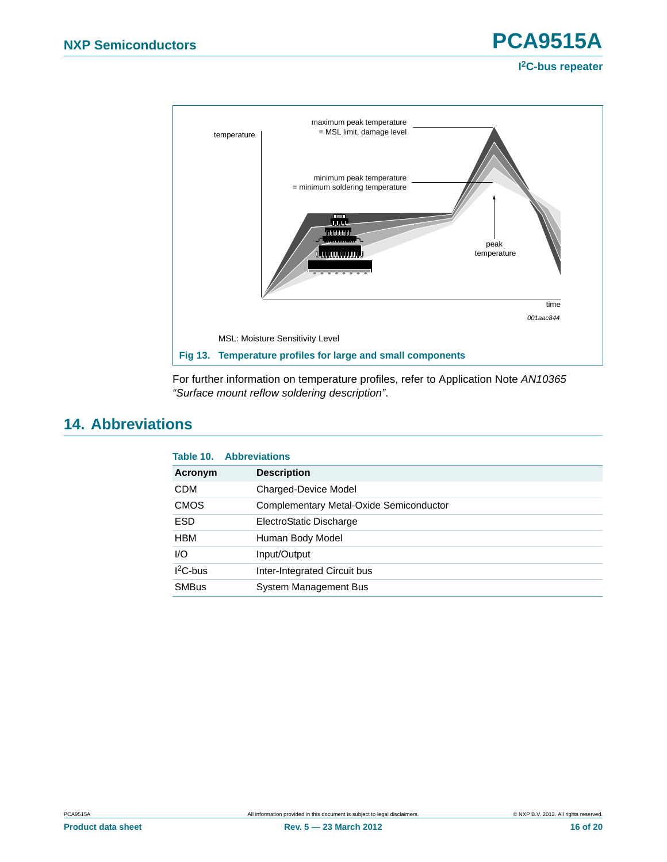### **I 2C-bus repeater**



For further information on temperature profiles, refer to Application Note *AN10365 "Surface mount reflow soldering description"*.

# <span id="page-15-0"></span>**14. Abbreviations**

|              | <b>Table 10. Abbreviations</b>          |
|--------------|-----------------------------------------|
| Acronym      | <b>Description</b>                      |
| <b>CDM</b>   | Charged-Device Model                    |
| <b>CMOS</b>  | Complementary Metal-Oxide Semiconductor |
| <b>ESD</b>   | ElectroStatic Discharge                 |
| <b>HBM</b>   | Human Body Model                        |
| 1/O          | Input/Output                            |
| $12C$ -bus   | Inter-Integrated Circuit bus            |
| <b>SMBus</b> | System Management Bus                   |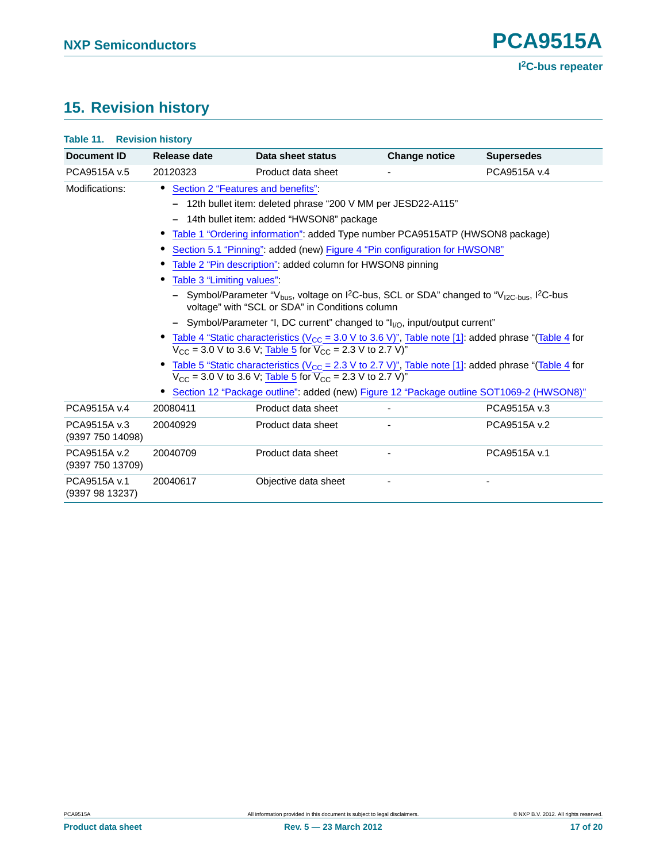# <span id="page-16-0"></span>**15. Revision history**

| <b>Table 11. Revision history</b> |                           |                                                                                                                                                                                                                                                                                                                                                                                                                                                                                                                                                                                  |                      |                   |
|-----------------------------------|---------------------------|----------------------------------------------------------------------------------------------------------------------------------------------------------------------------------------------------------------------------------------------------------------------------------------------------------------------------------------------------------------------------------------------------------------------------------------------------------------------------------------------------------------------------------------------------------------------------------|----------------------|-------------------|
| <b>Document ID</b>                | Release date              | Data sheet status                                                                                                                                                                                                                                                                                                                                                                                                                                                                                                                                                                | <b>Change notice</b> | <b>Supersedes</b> |
| PCA9515A v.5                      | 20120323                  | Product data sheet                                                                                                                                                                                                                                                                                                                                                                                                                                                                                                                                                               |                      | PCA9515A v.4      |
| Modifications:                    | Table 3 "Limiting values" | Section 2 "Features and benefits"<br>12th bullet item: deleted phrase "200 V MM per JESD22-A115"<br>14th bullet item: added "HWSON8" package<br>Table 1 "Ordering information": added Type number PCA9515ATP (HWSON8 package)<br>Section 5.1 "Pinning": added (new) Figure 4 "Pin configuration for HWSON8"<br>Table 2 "Pin description": added column for HWSON8 pinning<br>Symbol/Parameter "V <sub>bus</sub> , voltage on I <sup>2</sup> C-bus, SCL or SDA" changed to "V <sub>I2C-bus</sub> , I <sup>2</sup> C-bus<br>voltage" with "SCL or SDA" in Conditions column        |                      |                   |
|                                   |                           | - Symbol/Parameter "I, DC current" changed to " $I_{1/0}$ , input/output current"<br>Table 4 "Static characteristics ( $V_{CC}$ = 3.0 V to 3.6 V)", Table note [1]: added phrase "(Table 4 for<br>$V_{CC}$ = 3.0 V to 3.6 V; Table 5 for $\overline{V}_{CC}$ = 2.3 V to 2.7 V)"<br>Table 5 "Static characteristics ( $V_{\text{CC}} = 2.3$ V to 2.7 V)", Table note [1]: added phrase "(Table 4 for<br>$V_{CC}$ = 3.0 V to 3.6 V; Table 5 for $\overline{V}_{CC}$ = 2.3 V to 2.7 V)"<br>Section 12 "Package outline": added (new) Figure 12 "Package outline SOT1069-2 (HWSON8)" |                      |                   |
| PCA9515A v.4                      | 20080411                  | Product data sheet                                                                                                                                                                                                                                                                                                                                                                                                                                                                                                                                                               |                      | PCA9515A v.3      |
| PCA9515A v.3<br>(9397 750 14098)  | 20040929                  | Product data sheet                                                                                                                                                                                                                                                                                                                                                                                                                                                                                                                                                               |                      | PCA9515A v.2      |
| PCA9515A v.2<br>(9397 750 13709)  | 20040709                  | Product data sheet                                                                                                                                                                                                                                                                                                                                                                                                                                                                                                                                                               |                      | PCA9515A v.1      |
| PCA9515A v.1<br>(9397 98 13237)   | 20040617                  | Objective data sheet                                                                                                                                                                                                                                                                                                                                                                                                                                                                                                                                                             |                      |                   |
|                                   |                           |                                                                                                                                                                                                                                                                                                                                                                                                                                                                                                                                                                                  |                      |                   |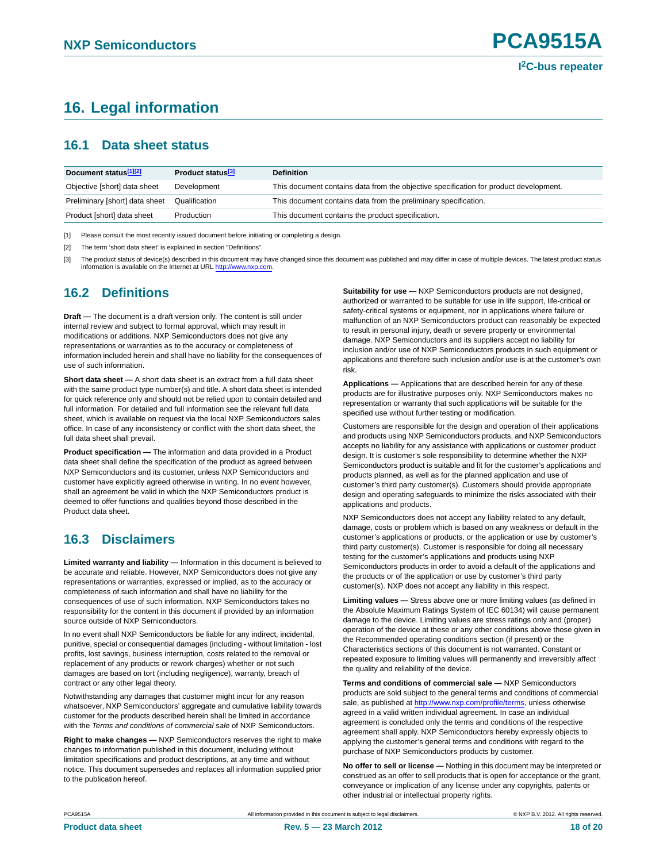# <span id="page-17-0"></span>**16. Legal information**

### <span id="page-17-1"></span>**16.1 Data sheet status**

| Document status[1][2]          | Product status <sup>[3]</sup> | <b>Definition</b>                                                                     |
|--------------------------------|-------------------------------|---------------------------------------------------------------------------------------|
| Objective [short] data sheet   | Development                   | This document contains data from the objective specification for product development. |
| Preliminary [short] data sheet | Qualification                 | This document contains data from the preliminary specification.                       |
| Product [short] data sheet     | Production                    | This document contains the product specification.                                     |

[1] Please consult the most recently issued document before initiating or completing a design.

[2] The term 'short data sheet' is explained in section "Definitions".

[3] The product status of device(s) described in this document may have changed since this document was published and may differ in case of multiple devices. The latest product status information is available on the Internet at URL [http://www.nxp.com.](http://www.nxp.com)

# <span id="page-17-2"></span>**16.2 Definitions**

**Draft —** The document is a draft version only. The content is still under internal review and subject to formal approval, which may result in modifications or additions. NXP Semiconductors does not give any representations or warranties as to the accuracy or completeness of information included herein and shall have no liability for the consequences of use of such information.

**Short data sheet —** A short data sheet is an extract from a full data sheet with the same product type number(s) and title. A short data sheet is intended for quick reference only and should not be relied upon to contain detailed and full information. For detailed and full information see the relevant full data sheet, which is available on request via the local NXP Semiconductors sales office. In case of any inconsistency or conflict with the short data sheet, the full data sheet shall prevail.

**Product specification —** The information and data provided in a Product data sheet shall define the specification of the product as agreed between NXP Semiconductors and its customer, unless NXP Semiconductors and customer have explicitly agreed otherwise in writing. In no event however, shall an agreement be valid in which the NXP Semiconductors product is deemed to offer functions and qualities beyond those described in the Product data sheet.

## <span id="page-17-3"></span>**16.3 Disclaimers**

**Limited warranty and liability —** Information in this document is believed to be accurate and reliable. However, NXP Semiconductors does not give any representations or warranties, expressed or implied, as to the accuracy or completeness of such information and shall have no liability for the consequences of use of such information. NXP Semiconductors takes no responsibility for the content in this document if provided by an information source outside of NXP Semiconductors.

In no event shall NXP Semiconductors be liable for any indirect, incidental, punitive, special or consequential damages (including - without limitation - lost profits, lost savings, business interruption, costs related to the removal or replacement of any products or rework charges) whether or not such damages are based on tort (including negligence), warranty, breach of contract or any other legal theory.

Notwithstanding any damages that customer might incur for any reason whatsoever, NXP Semiconductors' aggregate and cumulative liability towards customer for the products described herein shall be limited in accordance with the *Terms and conditions of commercial sale* of NXP Semiconductors.

**Right to make changes —** NXP Semiconductors reserves the right to make changes to information published in this document, including without limitation specifications and product descriptions, at any time and without notice. This document supersedes and replaces all information supplied prior to the publication hereof.

**Suitability for use —** NXP Semiconductors products are not designed, authorized or warranted to be suitable for use in life support, life-critical or safety-critical systems or equipment, nor in applications where failure or malfunction of an NXP Semiconductors product can reasonably be expected to result in personal injury, death or severe property or environmental damage. NXP Semiconductors and its suppliers accept no liability for inclusion and/or use of NXP Semiconductors products in such equipment or applications and therefore such inclusion and/or use is at the customer's own risk.

**Applications —** Applications that are described herein for any of these products are for illustrative purposes only. NXP Semiconductors makes no representation or warranty that such applications will be suitable for the specified use without further testing or modification.

Customers are responsible for the design and operation of their applications and products using NXP Semiconductors products, and NXP Semiconductors accepts no liability for any assistance with applications or customer product design. It is customer's sole responsibility to determine whether the NXP Semiconductors product is suitable and fit for the customer's applications and products planned, as well as for the planned application and use of customer's third party customer(s). Customers should provide appropriate design and operating safeguards to minimize the risks associated with their applications and products.

NXP Semiconductors does not accept any liability related to any default, damage, costs or problem which is based on any weakness or default in the customer's applications or products, or the application or use by customer's third party customer(s). Customer is responsible for doing all necessary testing for the customer's applications and products using NXP Semiconductors products in order to avoid a default of the applications and the products or of the application or use by customer's third party customer(s). NXP does not accept any liability in this respect.

**Limiting values —** Stress above one or more limiting values (as defined in the Absolute Maximum Ratings System of IEC 60134) will cause permanent damage to the device. Limiting values are stress ratings only and (proper) operation of the device at these or any other conditions above those given in the Recommended operating conditions section (if present) or the Characteristics sections of this document is not warranted. Constant or repeated exposure to limiting values will permanently and irreversibly affect the quality and reliability of the device.

**Terms and conditions of commercial sale —** NXP Semiconductors products are sold subject to the general terms and conditions of commercial sale, as published at [http://www.nxp.com/profile/terms,](http://www.nxp.com/profile/terms) unless otherwise agreed in a valid written individual agreement. In case an individual agreement is concluded only the terms and conditions of the respective agreement shall apply. NXP Semiconductors hereby expressly objects to applying the customer's general terms and conditions with regard to the purchase of NXP Semiconductors products by customer.

**No offer to sell or license —** Nothing in this document may be interpreted or construed as an offer to sell products that is open for acceptance or the grant, conveyance or implication of any license under any copyrights, patents or other industrial or intellectual property rights.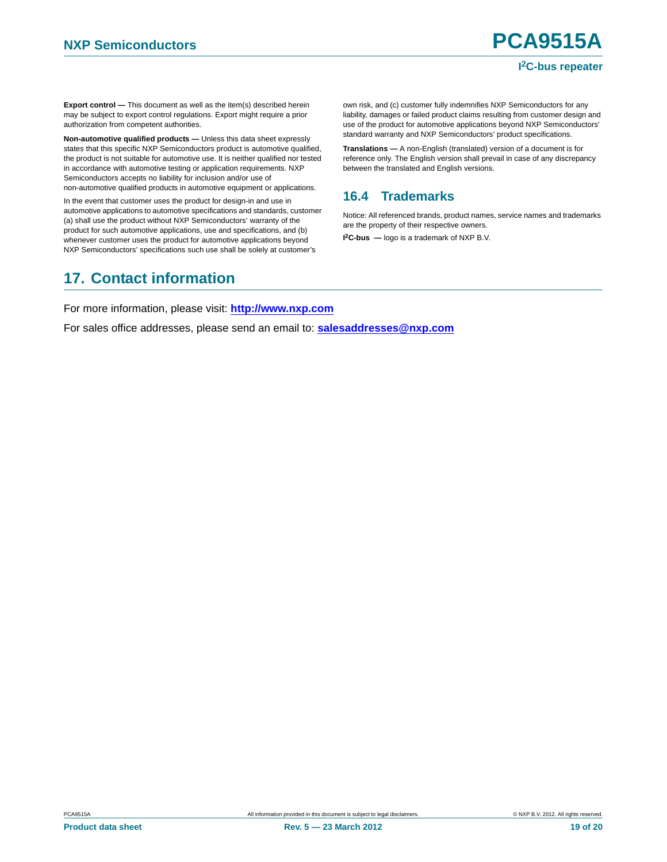**Export control —** This document as well as the item(s) described herein may be subject to export control regulations. Export might require a prior authorization from competent authorities.

**Non-automotive qualified products —** Unless this data sheet expressly states that this specific NXP Semiconductors product is automotive qualified, the product is not suitable for automotive use. It is neither qualified nor tested in accordance with automotive testing or application requirements. NXP Semiconductors accepts no liability for inclusion and/or use of non-automotive qualified products in automotive equipment or applications.

In the event that customer uses the product for design-in and use in automotive applications to automotive specifications and standards, customer (a) shall use the product without NXP Semiconductors' warranty of the product for such automotive applications, use and specifications, and (b) whenever customer uses the product for automotive applications beyond NXP Semiconductors' specifications such use shall be solely at customer's

own risk, and (c) customer fully indemnifies NXP Semiconductors for any liability, damages or failed product claims resulting from customer design and use of the product for automotive applications beyond NXP Semiconductors' standard warranty and NXP Semiconductors' product specifications.

**Translations —** A non-English (translated) version of a document is for reference only. The English version shall prevail in case of any discrepancy between the translated and English versions.

# <span id="page-18-0"></span>**16.4 Trademarks**

Notice: All referenced brands, product names, service names and trademarks are the property of their respective owners.

**I 2C-bus —** logo is a trademark of NXP B.V.

# <span id="page-18-1"></span>**17. Contact information**

For more information, please visit: **http://www.nxp.com**

For sales office addresses, please send an email to: **salesaddresses@nxp.com**